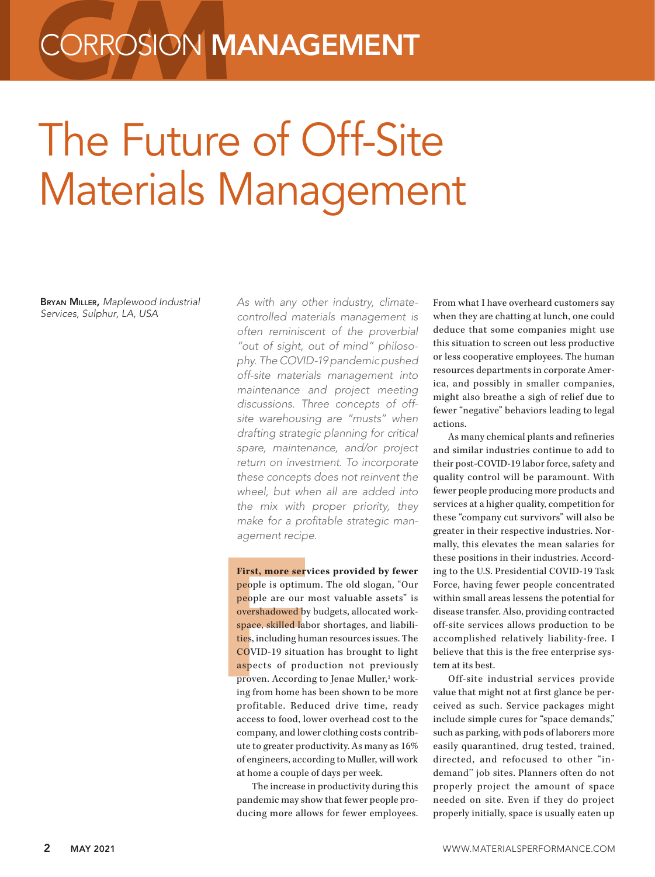## **CORROSION MANAGEMENT**

## The Future of Off-Site Materials Management

Bryan Miller, *Maplewood Industrial Services, Sulphur, LA, USA* 

*As with any other industry, climatecontrolled materials management is often reminiscent of the proverbial "out of sight, out of mind" philosophy. The COVID-19 pandemic pushed off-site materials management into maintenance and project meeting discussions. Three concepts of offsite warehousing are "musts" when drafting strategic planning for critical spare, maintenance, and/or project return on investment. To incorporate these concepts does not reinvent the wheel, but when all are added into the mix with proper priority, they make for a profitable strategic management recipe.* 

First, more serv<br>people is optimu<br>people are our r<br>overshadowed by<br>space, skilled lab<br>ties, including hur<br>COVID-19 situati<br>aspects of prod<br>proven. Accordin<br>ing from home ha<br>profitable. Redu **First, more services provided by fewer**  people is optimum. The old slogan, "Our people are our most valuable assets" is overshadowed by budgets, allocated workspace, skilled labor shortages, and liabilities, including human resources issues. The COVID-19 situation has brought to light aspects of production not previously proven. According to Jenae Muller,<sup>1</sup> working from home has been shown to be more profitable. Reduced drive time, ready access to food, lower overhead cost to the company, and lower clothing costs contribute to greater productivity. As many as 16% of engineers, according to Muller, will work at home a couple of days per week.

The increase in productivity during this pandemic may show that fewer people producing more allows for fewer employees. From what I have overheard customers say when they are chatting at lunch, one could deduce that some companies might use this situation to screen out less productive or less cooperative employees. The human resources departments in corporate America, and possibly in smaller companies, might also breathe a sigh of relief due to fewer "negative" behaviors leading to legal actions.

As many chemical plants and refineries and similar industries continue to add to their post-COVID-19 labor force, safety and quality control will be paramount. With fewer people producing more products and services at a higher quality, competition for these "company cut survivors" will also be greater in their respective industries. Normally, this elevates the mean salaries for these positions in their industries. According to the U.S. Presidential COVID-19 Task Force, having fewer people concentrated within small areas lessens the potential for disease transfer. Also, providing contracted off-site services allows production to be accomplished relatively liability-free. I believe that this is the free enterprise system at its best.

Off-site industrial services provide value that might not at first glance be perceived as such. Service packages might include simple cures for "space demands," such as parking, with pods of laborers more easily quarantined, drug tested, trained, directed, and refocused to other "indemand'' job sites. Planners often do not properly project the amount of space needed on site. Even if they do project properly initially, space is usually eaten up